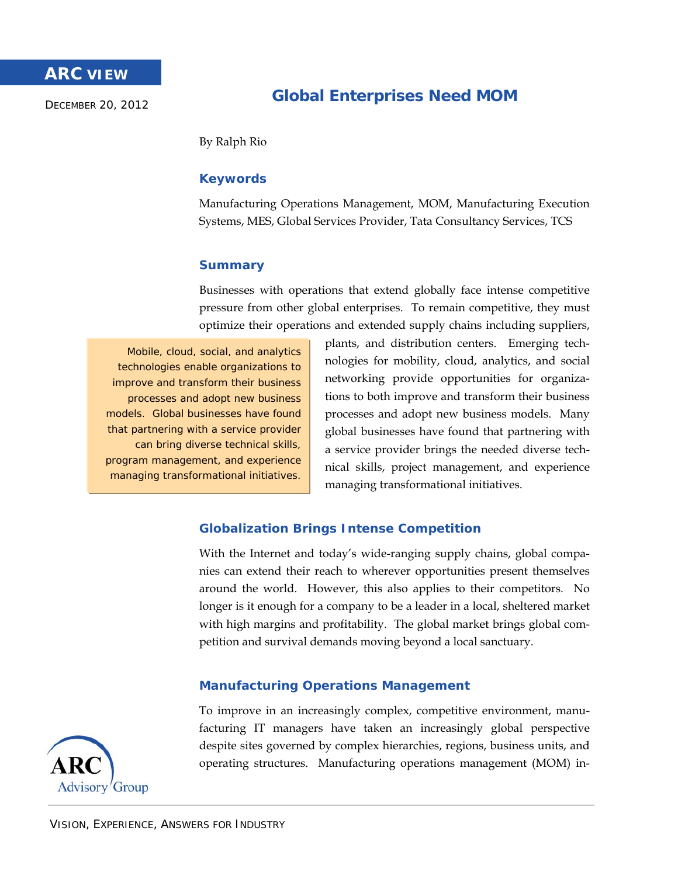# **ARC VIEW**

DECEMBER 20, 2012

# **Global Enterprises Need MOM**

By Ralph Rio

# **Keywords**

Manufacturing Operations Management, MOM, Manufacturing Execution Systems, MES, Global Services Provider, Tata Consultancy Services, TCS

# **Summary**

Businesses with operations that extend globally face intense competitive pressure from other global enterprises. To remain competitive, they must optimize their operations and extended supply chains including suppliers,

Mobile, cloud, social, and analytics technologies enable organizations to improve and transform their business processes and adopt new business models. Global businesses have found that partnering with a service provider can bring diverse technical skills, program management, and experience managing transformational initiatives.

plants, and distribution centers. Emerging technologies for mobility, cloud, analytics, and social networking provide opportunities for organizations to both improve and transform their business processes and adopt new business models. Many global businesses have found that partnering with a service provider brings the needed diverse technical skills, project management, and experience managing transformational initiatives.

# **Globalization Brings Intense Competition**

With the Internet and today's wide-ranging supply chains, global companies can extend their reach to wherever opportunities present themselves around the world. However, this also applies to their competitors. No longer is it enough for a company to be a leader in a local, sheltered market with high margins and profitability. The global market brings global competition and survival demands moving beyond a local sanctuary.

## **Manufacturing Operations Management**

To improve in an increasingly complex, competitive environment, manufacturing IT managers have taken an increasingly global perspective despite sites governed by complex hierarchies, regions, business units, and operating structures. Manufacturing operations management (MOM) in-

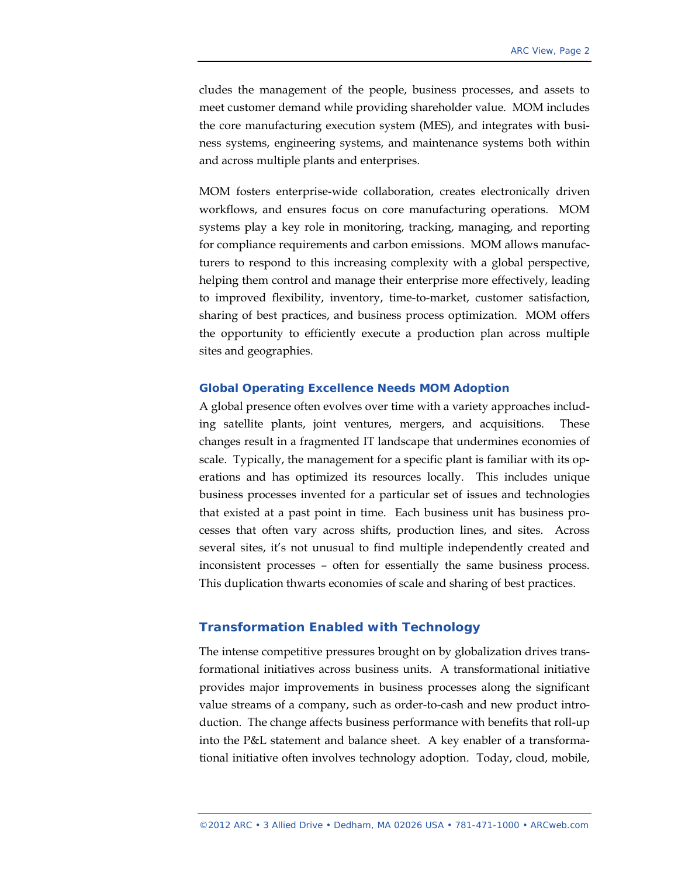cludes the management of the people, business processes, and assets to meet customer demand while providing shareholder value. MOM includes the core manufacturing execution system (MES), and integrates with business systems, engineering systems, and maintenance systems both within and across multiple plants and enterprises.

MOM fosters enterprise-wide collaboration, creates electronically driven workflows, and ensures focus on core manufacturing operations. MOM systems play a key role in monitoring, tracking, managing, and reporting for compliance requirements and carbon emissions. MOM allows manufacturers to respond to this increasing complexity with a global perspective, helping them control and manage their enterprise more effectively, leading to improved flexibility, inventory, time-to-market, customer satisfaction, sharing of best practices, and business process optimization. MOM offers the opportunity to efficiently execute a production plan across multiple sites and geographies.

#### **Global Operating Excellence Needs MOM Adoption**

A global presence often evolves over time with a variety approaches including satellite plants, joint ventures, mergers, and acquisitions. These changes result in a fragmented IT landscape that undermines economies of scale. Typically, the management for a specific plant is familiar with its operations and has optimized its resources locally. This includes unique business processes invented for a particular set of issues and technologies that existed at a past point in time. Each business unit has business processes that often vary across shifts, production lines, and sites. Across several sites, it's not unusual to find multiple independently created and inconsistent processes – often for essentially the same business process. This duplication thwarts economies of scale and sharing of best practices.

## **Transformation Enabled with Technology**

The intense competitive pressures brought on by globalization drives transformational initiatives across business units. A transformational initiative provides major improvements in business processes along the significant value streams of a company, such as order-to-cash and new product introduction. The change affects business performance with benefits that roll-up into the P&L statement and balance sheet. A key enabler of a transformational initiative often involves technology adoption. Today, cloud, mobile,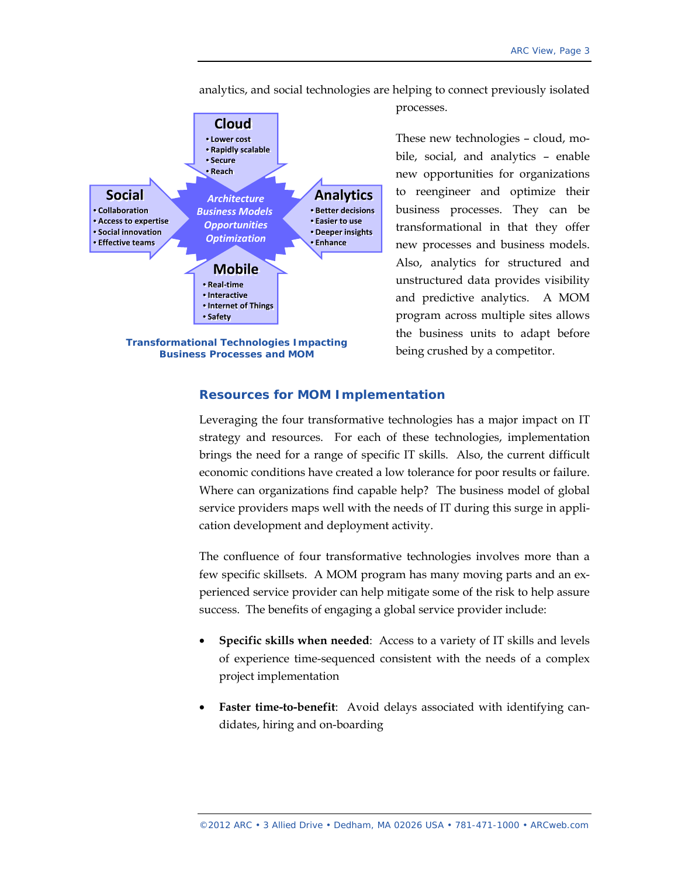analytics, and social technologies are helping to connect previously isolated

processes.



bile, social, and analytics – enable new opportunities for organizations to reengineer and optimize their business processes. They can be transformational in that they offer new processes and business models. Also, analytics for structured and unstructured data provides visibility and predictive analytics. A MOM program across multiple sites allows the business units to adapt before

being crushed by a competitor.

These new technologies – cloud, mo-

## **Resources for MOM Implementation**

Leveraging the four transformative technologies has a major impact on IT strategy and resources. For each of these technologies, implementation brings the need for a range of specific IT skills. Also, the current difficult economic conditions have created a low tolerance for poor results or failure. Where can organizations find capable help? The business model of global service providers maps well with the needs of IT during this surge in application development and deployment activity.

The confluence of four transformative technologies involves more than a few specific skillsets. A MOM program has many moving parts and an experienced service provider can help mitigate some of the risk to help assure success. The benefits of engaging a global service provider include:

- **Specific skills when needed**: Access to a variety of IT skills and levels of experience time-sequenced consistent with the needs of a complex project implementation
- **Faster time-to-benefit:** Avoid delays associated with identifying candidates, hiring and on-boarding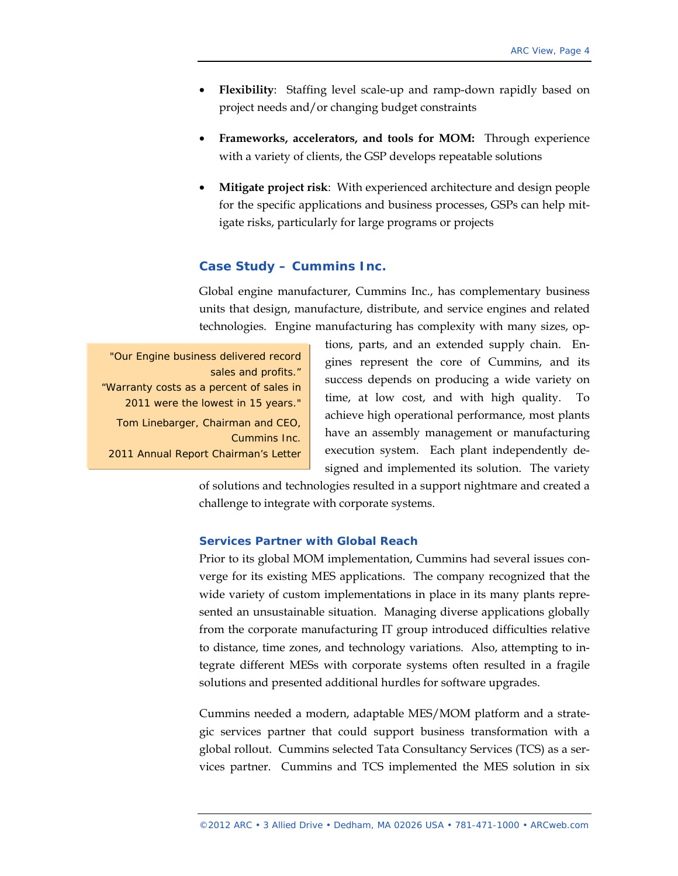- **Flexibility**: Staffing level scale-up and ramp-down rapidly based on project needs and/or changing budget constraints
- **Frameworks, accelerators, and tools for MOM:** Through experience with a variety of clients, the GSP develops repeatable solutions
- **Mitigate project risk**: With experienced architecture and design people for the specific applications and business processes, GSPs can help mitigate risks, particularly for large programs or projects

### **Case Study – Cummins Inc.**

Global engine manufacturer, Cummins Inc., has complementary business units that design, manufacture, distribute, and service engines and related technologies. Engine manufacturing has complexity with many sizes, op-

*"Our Engine business delivered record sales and profits." "Warranty costs as a percent of sales in 2011 were the lowest in 15 years."*  Tom Linebarger, Chairman and CEO, Cummins Inc. 2011 Annual Report Chairman's Letter

tions, parts, and an extended supply chain. Engines represent the core of Cummins, and its success depends on producing a wide variety on time, at low cost, and with high quality. To achieve high operational performance, most plants have an assembly management or manufacturing execution system. Each plant independently designed and implemented its solution. The variety

of solutions and technologies resulted in a support nightmare and created a challenge to integrate with corporate systems.

### **Services Partner with Global Reach**

Prior to its global MOM implementation, Cummins had several issues converge for its existing MES applications. The company recognized that the wide variety of custom implementations in place in its many plants represented an unsustainable situation. Managing diverse applications globally from the corporate manufacturing IT group introduced difficulties relative to distance, time zones, and technology variations. Also, attempting to integrate different MESs with corporate systems often resulted in a fragile solutions and presented additional hurdles for software upgrades.

Cummins needed a modern, adaptable MES/MOM platform and a strategic services partner that could support business transformation with a global rollout. Cummins selected Tata Consultancy Services (TCS) as a services partner. Cummins and TCS implemented the MES solution in six